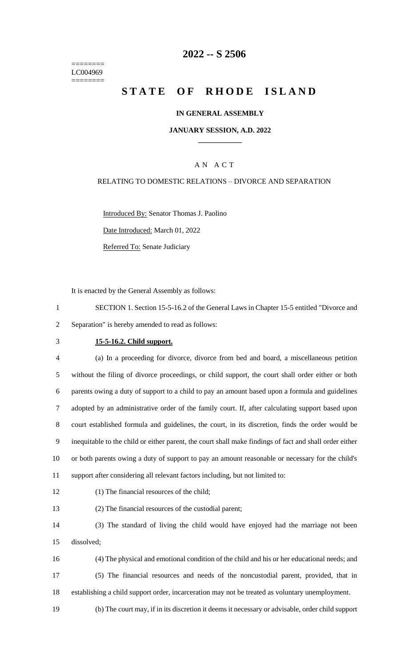======== LC004969 ========

# **-- S 2506**

# **STATE OF RHODE ISLAND**

### **IN GENERAL ASSEMBLY**

### **JANUARY SESSION, A.D. 2022 \_\_\_\_\_\_\_\_\_\_\_\_**

### A N A C T

#### RELATING TO DOMESTIC RELATIONS – DIVORCE AND SEPARATION

Introduced By: Senator Thomas J. Paolino Date Introduced: March 01, 2022

Referred To: Senate Judiciary

It is enacted by the General Assembly as follows:

 SECTION 1. Section 15-5-16.2 of the General Laws in Chapter 15-5 entitled "Divorce and Separation" is hereby amended to read as follows:

#### **15-5-16.2. Child support.**

 (a) In a proceeding for divorce, divorce from bed and board, a miscellaneous petition without the filing of divorce proceedings, or child support, the court shall order either or both parents owing a duty of support to a child to pay an amount based upon a formula and guidelines adopted by an administrative order of the family court. If, after calculating support based upon court established formula and guidelines, the court, in its discretion, finds the order would be inequitable to the child or either parent, the court shall make findings of fact and shall order either or both parents owing a duty of support to pay an amount reasonable or necessary for the child's support after considering all relevant factors including, but not limited to:

(1) The financial resources of the child;

(2) The financial resources of the custodial parent;

 (3) The standard of living the child would have enjoyed had the marriage not been dissolved;

 (4) The physical and emotional condition of the child and his or her educational needs; and (5) The financial resources and needs of the noncustodial parent, provided, that in establishing a child support order, incarceration may not be treated as voluntary unemployment.

(b) The court may, if in its discretion it deems it necessary or advisable, order child support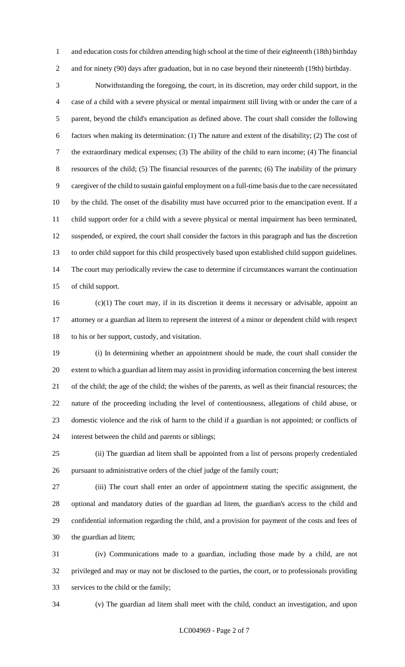1 and education costs for children attending high school at the time of their eighteenth (18th) birthday and for ninety (90) days after graduation, but in no case beyond their nineteenth (19th) birthday.

 Notwithstanding the foregoing, the court, in its discretion, may order child support, in the case of a child with a severe physical or mental impairment still living with or under the care of a parent, beyond the child's emancipation as defined above. The court shall consider the following factors when making its determination: (1) The nature and extent of the disability; (2) The cost of the extraordinary medical expenses; (3) The ability of the child to earn income; (4) The financial resources of the child; (5) The financial resources of the parents; (6) The inability of the primary caregiver of the child to sustain gainful employment on a full-time basis due to the care necessitated by the child. The onset of the disability must have occurred prior to the emancipation event. If a child support order for a child with a severe physical or mental impairment has been terminated, suspended, or expired, the court shall consider the factors in this paragraph and has the discretion to order child support for this child prospectively based upon established child support guidelines. The court may periodically review the case to determine if circumstances warrant the continuation of child support.

 (c)(1) The court may, if in its discretion it deems it necessary or advisable, appoint an attorney or a guardian ad litem to represent the interest of a minor or dependent child with respect to his or her support, custody, and visitation.

 (i) In determining whether an appointment should be made, the court shall consider the extent to which a guardian ad litem may assist in providing information concerning the best interest of the child; the age of the child; the wishes of the parents, as well as their financial resources; the nature of the proceeding including the level of contentiousness, allegations of child abuse, or domestic violence and the risk of harm to the child if a guardian is not appointed; or conflicts of interest between the child and parents or siblings;

 (ii) The guardian ad litem shall be appointed from a list of persons properly credentialed pursuant to administrative orders of the chief judge of the family court;

 (iii) The court shall enter an order of appointment stating the specific assignment, the optional and mandatory duties of the guardian ad litem, the guardian's access to the child and confidential information regarding the child, and a provision for payment of the costs and fees of the guardian ad litem;

 (iv) Communications made to a guardian, including those made by a child, are not privileged and may or may not be disclosed to the parties, the court, or to professionals providing services to the child or the family;

(v) The guardian ad litem shall meet with the child, conduct an investigation, and upon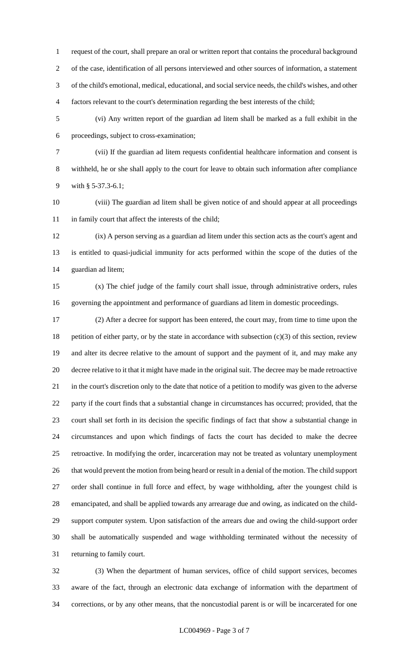request of the court, shall prepare an oral or written report that contains the procedural background of the case, identification of all persons interviewed and other sources of information, a statement of the child's emotional, medical, educational, and social service needs, the child's wishes, and other factors relevant to the court's determination regarding the best interests of the child;

 (vi) Any written report of the guardian ad litem shall be marked as a full exhibit in the proceedings, subject to cross-examination;

 (vii) If the guardian ad litem requests confidential healthcare information and consent is withheld, he or she shall apply to the court for leave to obtain such information after compliance with § 5-37.3-6.1;

 (viii) The guardian ad litem shall be given notice of and should appear at all proceedings in family court that affect the interests of the child;

 (ix) A person serving as a guardian ad litem under this section acts as the court's agent and is entitled to quasi-judicial immunity for acts performed within the scope of the duties of the guardian ad litem;

 (x) The chief judge of the family court shall issue, through administrative orders, rules governing the appointment and performance of guardians ad litem in domestic proceedings.

 (2) After a decree for support has been entered, the court may, from time to time upon the 18 petition of either party, or by the state in accordance with subsection  $(c)(3)$  of this section, review and alter its decree relative to the amount of support and the payment of it, and may make any decree relative to it that it might have made in the original suit. The decree may be made retroactive in the court's discretion only to the date that notice of a petition to modify was given to the adverse party if the court finds that a substantial change in circumstances has occurred; provided, that the court shall set forth in its decision the specific findings of fact that show a substantial change in circumstances and upon which findings of facts the court has decided to make the decree retroactive. In modifying the order, incarceration may not be treated as voluntary unemployment that would prevent the motion from being heard or result in a denial of the motion. The child support order shall continue in full force and effect, by wage withholding, after the youngest child is emancipated, and shall be applied towards any arrearage due and owing, as indicated on the child- support computer system. Upon satisfaction of the arrears due and owing the child-support order shall be automatically suspended and wage withholding terminated without the necessity of returning to family court.

 (3) When the department of human services, office of child support services, becomes aware of the fact, through an electronic data exchange of information with the department of corrections, or by any other means, that the noncustodial parent is or will be incarcerated for one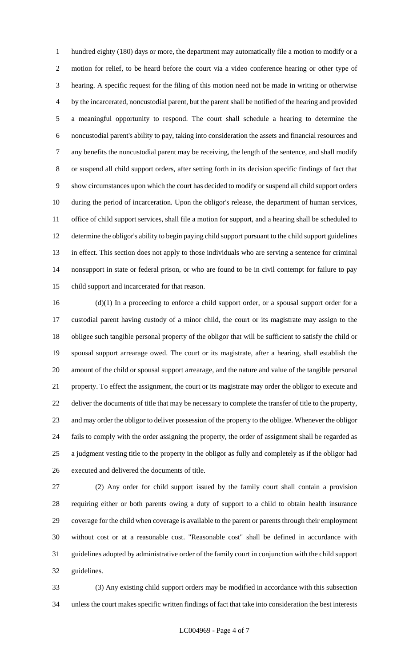hundred eighty (180) days or more, the department may automatically file a motion to modify or a motion for relief, to be heard before the court via a video conference hearing or other type of hearing. A specific request for the filing of this motion need not be made in writing or otherwise by the incarcerated, noncustodial parent, but the parent shall be notified of the hearing and provided a meaningful opportunity to respond. The court shall schedule a hearing to determine the noncustodial parent's ability to pay, taking into consideration the assets and financial resources and any benefits the noncustodial parent may be receiving, the length of the sentence, and shall modify or suspend all child support orders, after setting forth in its decision specific findings of fact that show circumstances upon which the court has decided to modify or suspend all child support orders during the period of incarceration. Upon the obligor's release, the department of human services, office of child support services, shall file a motion for support, and a hearing shall be scheduled to determine the obligor's ability to begin paying child support pursuant to the child support guidelines in effect. This section does not apply to those individuals who are serving a sentence for criminal nonsupport in state or federal prison, or who are found to be in civil contempt for failure to pay child support and incarcerated for that reason.

 (d)(1) In a proceeding to enforce a child support order, or a spousal support order for a custodial parent having custody of a minor child, the court or its magistrate may assign to the obligee such tangible personal property of the obligor that will be sufficient to satisfy the child or spousal support arrearage owed. The court or its magistrate, after a hearing, shall establish the amount of the child or spousal support arrearage, and the nature and value of the tangible personal property. To effect the assignment, the court or its magistrate may order the obligor to execute and deliver the documents of title that may be necessary to complete the transfer of title to the property, and may order the obligor to deliver possession of the property to the obligee. Whenever the obligor fails to comply with the order assigning the property, the order of assignment shall be regarded as a judgment vesting title to the property in the obligor as fully and completely as if the obligor had executed and delivered the documents of title.

 (2) Any order for child support issued by the family court shall contain a provision requiring either or both parents owing a duty of support to a child to obtain health insurance coverage for the child when coverage is available to the parent or parents through their employment without cost or at a reasonable cost. "Reasonable cost" shall be defined in accordance with guidelines adopted by administrative order of the family court in conjunction with the child support guidelines.

 (3) Any existing child support orders may be modified in accordance with this subsection unless the court makes specific written findings of fact that take into consideration the best interests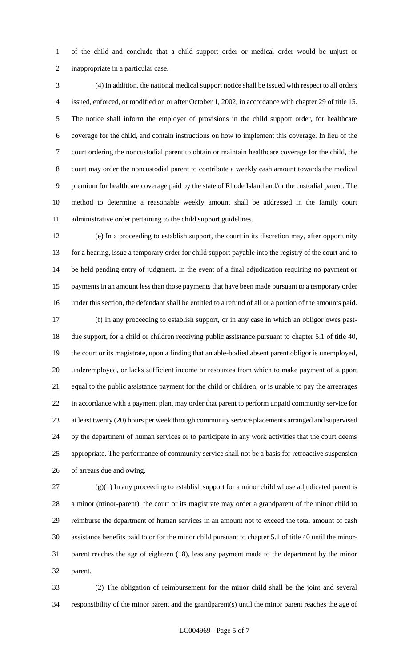of the child and conclude that a child support order or medical order would be unjust or inappropriate in a particular case.

 (4) In addition, the national medical support notice shall be issued with respect to all orders issued, enforced, or modified on or after October 1, 2002, in accordance with chapter 29 of title 15. The notice shall inform the employer of provisions in the child support order, for healthcare coverage for the child, and contain instructions on how to implement this coverage. In lieu of the court ordering the noncustodial parent to obtain or maintain healthcare coverage for the child, the court may order the noncustodial parent to contribute a weekly cash amount towards the medical premium for healthcare coverage paid by the state of Rhode Island and/or the custodial parent. The method to determine a reasonable weekly amount shall be addressed in the family court administrative order pertaining to the child support guidelines.

 (e) In a proceeding to establish support, the court in its discretion may, after opportunity 13 for a hearing, issue a temporary order for child support payable into the registry of the court and to be held pending entry of judgment. In the event of a final adjudication requiring no payment or payments in an amount less than those payments that have been made pursuant to a temporary order under this section, the defendant shall be entitled to a refund of all or a portion of the amounts paid. (f) In any proceeding to establish support, or in any case in which an obligor owes past- due support, for a child or children receiving public assistance pursuant to chapter 5.1 of title 40, the court or its magistrate, upon a finding that an able-bodied absent parent obligor is unemployed, underemployed, or lacks sufficient income or resources from which to make payment of support equal to the public assistance payment for the child or children, or is unable to pay the arrearages in accordance with a payment plan, may order that parent to perform unpaid community service for at least twenty (20) hours per week through community service placements arranged and supervised by the department of human services or to participate in any work activities that the court deems appropriate. The performance of community service shall not be a basis for retroactive suspension of arrears due and owing.

 $(27 \text{ (g)}(1)$  In any proceeding to establish support for a minor child whose adjudicated parent is a minor (minor-parent), the court or its magistrate may order a grandparent of the minor child to reimburse the department of human services in an amount not to exceed the total amount of cash assistance benefits paid to or for the minor child pursuant to chapter 5.1 of title 40 until the minor- parent reaches the age of eighteen (18), less any payment made to the department by the minor parent.

 (2) The obligation of reimbursement for the minor child shall be the joint and several responsibility of the minor parent and the grandparent(s) until the minor parent reaches the age of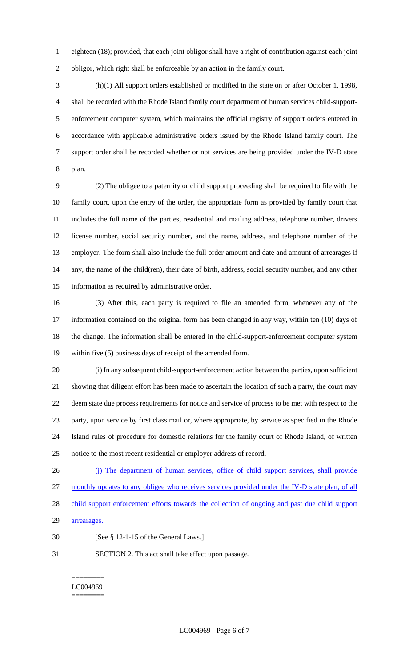eighteen (18); provided, that each joint obligor shall have a right of contribution against each joint obligor, which right shall be enforceable by an action in the family court.

 (h)(1) All support orders established or modified in the state on or after October 1, 1998, shall be recorded with the Rhode Island family court department of human services child-support- enforcement computer system, which maintains the official registry of support orders entered in accordance with applicable administrative orders issued by the Rhode Island family court. The support order shall be recorded whether or not services are being provided under the IV-D state plan.

 (2) The obligee to a paternity or child support proceeding shall be required to file with the family court, upon the entry of the order, the appropriate form as provided by family court that includes the full name of the parties, residential and mailing address, telephone number, drivers license number, social security number, and the name, address, and telephone number of the employer. The form shall also include the full order amount and date and amount of arrearages if any, the name of the child(ren), their date of birth, address, social security number, and any other information as required by administrative order.

 (3) After this, each party is required to file an amended form, whenever any of the information contained on the original form has been changed in any way, within ten (10) days of the change. The information shall be entered in the child-support-enforcement computer system within five (5) business days of receipt of the amended form.

 (i) In any subsequent child-support-enforcement action between the parties, upon sufficient showing that diligent effort has been made to ascertain the location of such a party, the court may deem state due process requirements for notice and service of process to be met with respect to the party, upon service by first class mail or, where appropriate, by service as specified in the Rhode Island rules of procedure for domestic relations for the family court of Rhode Island, of written notice to the most recent residential or employer address of record.

- (j) The department of human services, office of child support services, shall provide monthly updates to any obligee who receives services provided under the IV-D state plan, of all 28 child support enforcement efforts towards the collection of ongoing and past due child support 29 arrearages.
- [See § 12-1-15 of the General Laws.]
- SECTION 2. This act shall take effect upon passage.

======== LC004969 ========